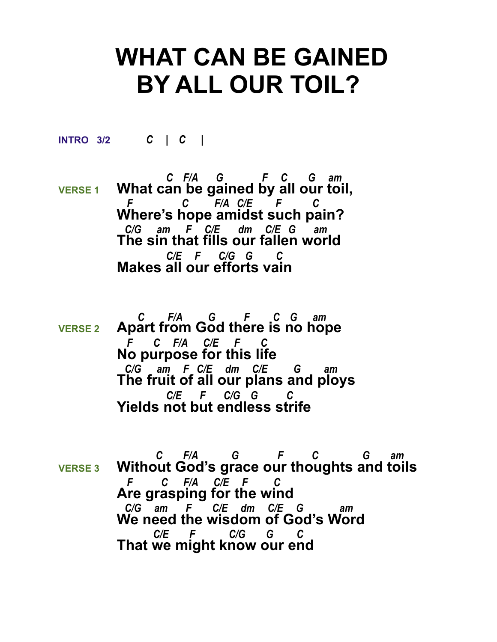## **WHAT CAN BE GAINED BY ALL OUR TOIL?**

**INTRO 3/2** *C | C |* 

 *C F/A G F C G am*  **VERSE 1 What can be gained by all our toil,**  *F C F/A C/E F C* **Where's hope amidst such pain?**  *C/G am F C/E dm C/E G am*  **The sin that fills our fallen world**  *C/E F C/G G C* **Makes all our efforts vain**

- *C F/A G F C G am*  **VERSE 2 Apart from God there is no hope**  *F C F/A C/E F C* **No purpose for this life**  *C/G am F C/E dm C/E G am*  **The fruit of all our plans and ploys**  *C/E F C/G G C* **Yields not but endless strife**
- *C F/A G F C G am*  **VERSE 3 Without God's grace our thoughts and toils**  *F C F/A C/E F C* **Are grasping for the wind**  *C/G am F C/E dm C/E G am*  **We need the wisdom of God's Word**  *C/E F C/G G C* **That we might know our end**